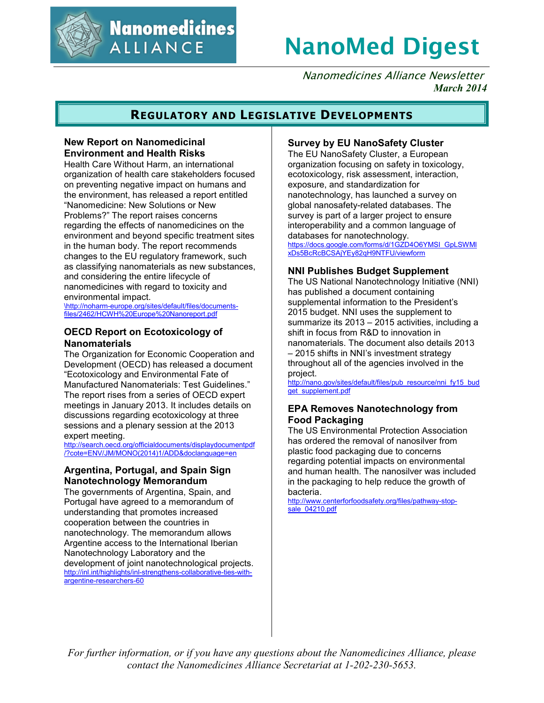

**Nanomedicines ALLIANCE** 

# **NanoMed Digest**

Nanomedicines Alliance Newsletter *March 2014*

## **REGULATORY AND LEGISLATIVE DEVELOPMENTS**

### **New Report on Nanomedicinal Environment and Health Risks**

Health Care Without Harm, an international organization of health care stakeholders focused on preventing negative impact on humans and the environment, has released a report entitled "Nanomedicine: New Solutions or New Problems?" The report raises concerns regarding the effects of nanomedicines on the environment and beyond specific treatment sites in the human body. The report recommends changes to the EU regulatory framework, such as classifying nanomaterials as new substances, and considering the entire lifecycle of nanomedicines with regard to toxicity and environmental impact.

\http://noharm-europe.org/sites/default/files/documentsfiles/2462/HCWH%20Europe%20Nanoreport.pdf

### **OECD Report on Ecotoxicology of Nanomaterials**

The Organization for Economic Cooperation and Development (OECD) has released a document "Ecotoxicology and Environmental Fate of Manufactured Nanomaterials: Test Guidelines." The report rises from a series of OECD expert meetings in January 2013. It includes details on discussions regarding ecotoxicology at three sessions and a plenary session at the 2013 expert meeting.

http://search.oecd.org/officialdocuments/displaydocumentpdf /?cote=ENV/JM/MONO(2014)1/ADD&doclanguage=en

### **Argentina, Portugal, and Spain Sign Nanotechnology Memorandum**

The governments of Argentina, Spain, and Portugal have agreed to a memorandum of understanding that promotes increased cooperation between the countries in nanotechnology. The memorandum allows Argentine access to the International Iberian Nanotechnology Laboratory and the development of joint nanotechnological projects. http://inl.int/highlights/inl-strengthens-collaborative-ties-withargentine-researchers-60

### **Survey by EU NanoSafety Cluster**

The EU NanoSafety Cluster, a European organization focusing on safety in toxicology, ecotoxicology, risk assessment, interaction, exposure, and standardization for nanotechnology, has launched a survey on global nanosafety-related databases. The survey is part of a larger project to ensure interoperability and a common language of databases for nanotechnology.

https://docs.google.com/forms/d/1GZD4O6YMSI\_GpLSWMl xDs5BcRcBCSAjYEy82qH9NTFU/viewform

### **NNI Publishes Budget Supplement**

The US National Nanotechnology Initiative (NNI) has published a document containing supplemental information to the President's 2015 budget. NNI uses the supplement to summarize its 2013 – 2015 activities, including a shift in focus from R&D to innovation in nanomaterials. The document also details 2013 – 2015 shifts in NNI's investment strategy throughout all of the agencies involved in the project.

http://nano.gov/sites/default/files/pub\_resource/nni\_fy15\_bud get\_supplement.pdf

### **EPA Removes Nanotechnology from Food Packaging**

The US Environmental Protection Association has ordered the removal of nanosilver from plastic food packaging due to concerns regarding potential impacts on environmental and human health. The nanosilver was included in the packaging to help reduce the growth of bacteria.

http://www.centerforfoodsafety.org/files/pathway-stopsale 04210.pdf

*For further information, or if you have any questions about the Nanomedicines Alliance, please contact the Nanomedicines Alliance Secretariat at 1-202-230-5653.*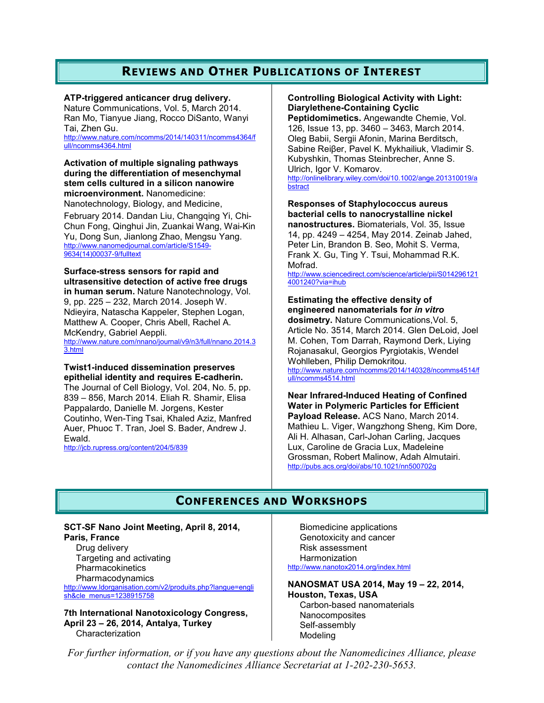# **REVIEWS AND OTHER PUBLICATIONS OF INTEREST**

**ATP-triggered anticancer drug delivery.** 

Nature Communications, Vol. 5, March 2014. Ran Mo, Tianyue Jiang, Rocco DiSanto, Wanyi Tai, Zhen Gu. http://www.nature.com/ncomms/2014/140311/ncomms4364/f

ull/ncomms4364.html

**Activation of multiple signaling pathways during the differentiation of mesenchymal stem cells cultured in a silicon nanowire microenvironment.** Nanomedicine: Nanotechnology, Biology, and Medicine, February 2014. Dandan Liu, Changqing Yi, Chi-Chun Fong, Qinghui Jin, Zuankai Wang, Wai-Kin Yu, Dong Sun, Jianlong Zhao, Mengsu Yang. http://www.nanomedjournal.com/article/S1549- 9634(14)00037-9/fulltext

**Surface-stress sensors for rapid and ultrasensitive detection of active free drugs in human serum.** Nature Nanotechnology, Vol. 9, pp. 225 – 232, March 2014. Joseph W. Ndieyira, Natascha Kappeler, Stephen Logan, Matthew A. Cooper, Chris Abell, Rachel A. McKendry, Gabriel Aeppli. http://www.nature.com/nnano/journal/v9/n3/full/nnano.2014.3

3.html

**Twist1-induced dissemination preserves epithelial identity and requires E-cadherin.**

The Journal of Cell Biology, Vol. 204, No. 5, pp. 839 – 856, March 2014. Eliah R. Shamir, Elisa Pappalardo, Danielle M. Jorgens, Kester Coutinho, Wen-Ting Tsai, Khaled Aziz, Manfred Auer, Phuoc T. Tran, Joel S. Bader, Andrew J. Ewald.

http://jcb.rupress.org/content/204/5/839

**Controlling Biological Activity with Light: Diarylethene-Containing Cyclic** 

**Peptidomimetics.** Angewandte Chemie, Vol. 126, Issue 13, pp. 3460 – 3463, March 2014. Oleg Babii, Sergii Afonin, Marina Berditsch, Sabine Reiβer, Pavel K. Mykhailiuk, Vladimir S. Kubyshkin, Thomas Steinbrecher, Anne S. Ulrich, Igor V. Komarov. http://onlinelibrary.wiley.com/doi/10.1002/ange.201310019/a bstract

**Responses of Staphylococcus aureus bacterial cells to nanocrystalline nickel nanostructures.** Biomaterials, Vol. 35, Issue 14, pp. 4249 – 4254, May 2014. Zeinab Jahed, Peter Lin, Brandon B. Seo, Mohit S. Verma, Frank X. Gu, Ting Y. Tsui, Mohammad R.K. Mofrad.

http://www.sciencedirect.com/science/article/pii/S014296121 4001240?via=ihub

#### **Estimating the effective density of engineered nanomaterials for** *in vitro*

**dosimetry.** Nature Communications,Vol. 5, Article No. 3514, March 2014. Glen DeLoid, Joel M. Cohen, Tom Darrah, Raymond Derk, Liying Rojanasakul, Georgios Pyrgiotakis, Wendel Wohlleben, Philip Demokritou. http://www.nature.com/ncomms/2014/140328/ncomms4514/f

ull/ncomms4514.html

**Near Infrared-Induced Heating of Confined Water in Polymeric Particles for Efficient Payload Release.** ACS Nano, March 2014. Mathieu L. Viger, Wangzhong Sheng, Kim Dore, Ali H. Alhasan, Carl-Johan Carling, Jacques Lux, Caroline de Gracia Lux, Madeleine Grossman, Robert Malinow, Adah Almutairi. http://pubs.acs.org/doi/abs/10.1021/nn500702g

# **CONFERENCES AND WORKSHOPS**

#### **SCT-SF Nano Joint Meeting, April 8, 2014, Paris, France**

Drug delivery Targeting and activating **Pharmacokinetics** Pharmacodynamics

http://www.ldorganisation.com/v2/produits.php?langue=engli sh&cle\_menus=1238915758

**7th International Nanotoxicology Congress, April 23 – 26, 2014, Antalya, Turkey**  Characterization

Biomedicine applications Genotoxicity and cancer Risk assessment Harmonization

http://www.nanotox2014.org/index.html

Modeling

**NANOSMAT USA 2014, May 19 – 22, 2014, Houston, Texas, USA**  Carbon-based nanomaterials **Nanocomposites** Self-assembly

*For further information, or if you have any questions about the Nanomedicines Alliance, please contact the Nanomedicines Alliance Secretariat at 1-202-230-5653.*